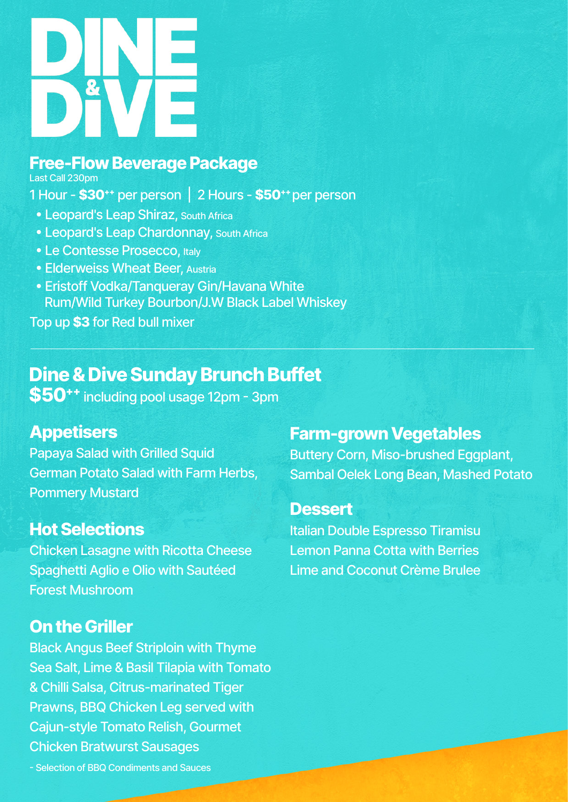

## **Free-Flow Beverage Package**

Last Call 230pm

1 Hour - **\$30++** per person | 2 Hours - **\$50++** per person

- � Leopard's Leap Shiraz, South Africa
- � Leopard's Leap Chardonnay, South Africa
- Le Contesse Prosecco, Italy
- **Elderweiss Wheat Beer, Austria**
- � Eristoff Vodka/Tanqueray Gin/Havana White Rum/Wild Turkey Bourbon/J.W Black Label Whiskey

Top up **\$3** for Red bull mixer

# **Dine & Dive Sunday Brunch Buffet**

**\$50++** including pool usage 12pm - 3pm

### **Appetisers**

Papaya Salad with Grilled Squid German Potato Salad with Farm Herbs, Pommery Mustard

## **Hot Selections**

Chicken Lasagne with Ricotta Cheese Spaghetti Aglio e Olio with Sautéed Forest Mushroom

### **On the Griller**

Black Angus Beef Striploin with Thyme Sea Salt, Lime & Basil Tilapia with Tomato & Chilli Salsa, Citrus-marinated Tiger Prawns, BBQ Chicken Leg served with Cajun-style Tomato Relish, Gourmet Chicken Bratwurst Sausages

## **Farm-grown Vegetables**

Buttery Corn, Miso-brushed Eggplant, Sambal Oelek Long Bean, Mashed Potato

### **Dessert**

Italian Double Espresso Tiramisu Lemon Panna Cotta with Berries Lime and Coconut Crème Brulee

- Selection of BBQ Condiments and Sauces